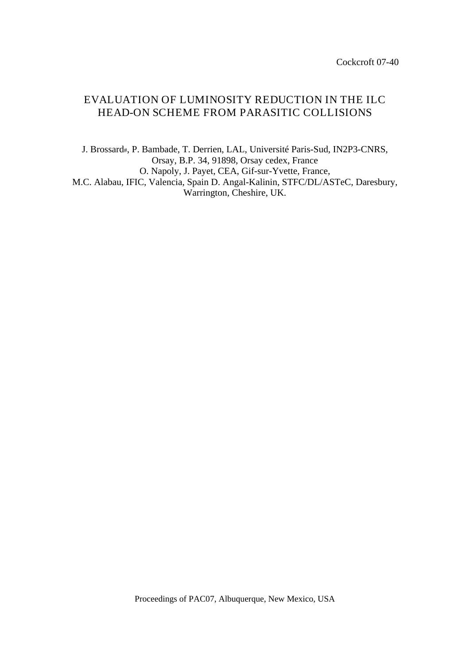# EVALUATION OF LUMINOSITY REDUCTION IN THE ILC HEAD-ON SCHEME FROM PARASITIC COLLISIONS

J. Brossard#, P. Bambade, T. Derrien, LAL, Université Paris-Sud, IN2P3-CNRS, Orsay, B.P. 34, 91898, Orsay cedex, France O. Napoly, J. Payet, CEA, Gif-sur-Yvette, France, M.C. Alabau, IFIC, Valencia, Spain D. Angal-Kalinin, STFC/DL/ASTeC, Daresbury, Warrington, Cheshire, UK.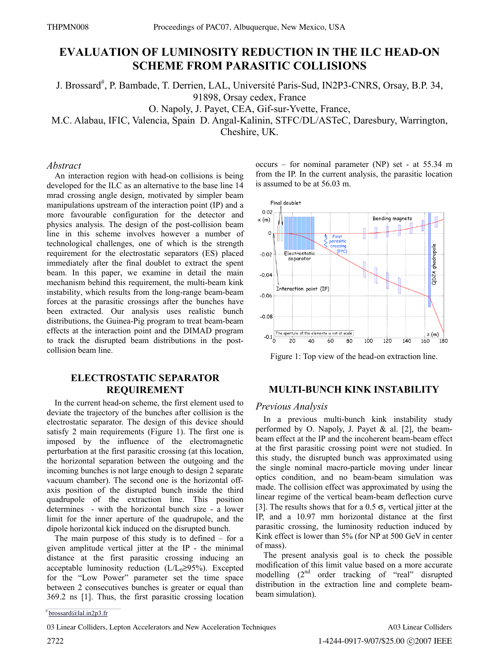## **EVALUATION OF LUMINOSITY REDUCTION IN THE ILC HEAD-ON SCHEME FROM PARASITIC COLLISIONS**

J. Brossard<sup>#</sup>, P. Bambade, T. Derrien, LAL, Université Paris-Sud, IN2P3-CNRS, Orsay, B.P. 34,

91898, Orsay cedex, France

O. Napoly, J. Payet, CEA, Gif-sur-Yvette, France,

M.C. Alabau, IFIC, Valencia, Spain D. Angal-Kalinin, STFC/DL/ASTeC, Daresbury, Warrington,

Cheshire, UK.

#### *Abstract*

An interaction region with head-on collisions is being developed for the ILC as an alternative to the base line 14 mrad crossing angle design, motivated by simpler beam manipulations upstream of the interaction point (IP) and a more favourable configuration for the detector and physics analysis. The design of the post-collision beam line in this scheme involves however a number of technological challenges, one of which is the strength requirement for the electrostatic separators (ES) placed immediately after the final doublet to extract the spent beam. In this paper, we examine in detail the main mechanism behind this requirement, the multi-beam kink instability, which results from the long-range beam-beam forces at the parasitic crossings after the bunches have been extracted. Our analysis uses realistic bunch distributions, the Guinea-Pig program to treat beam-beam effects at the interaction point and the DIMAD program to track the disrupted beam distributions in the postcollision beam line.

### **ELECTROSTATIC SEPARATOR REQUIREMENT**

In the current head-on scheme, the first element used to deviate the trajectory of the bunches after collision is the electrostatic separator. The design of this device should satisfy 2 main requirements (Figure 1). The first one is imposed by the influence of the electromagnetic perturbation at the first parasitic crossing (at this location, the horizontal separation between the outgoing and the incoming bunches is not large enough to design 2 separate vacuum chamber). The second one is the horizontal offaxis position of the disrupted bunch inside the third quadrupole of the extraction line. This position determines - with the horizontal bunch size - a lower limit for the inner aperture of the quadrupole, and the dipole horizontal kick induced on the disrupted bunch.

The main purpose of this study is to defined  $-$  for a given amplitude vertical jitter at the IP - the minimal distance at the first parasitic crossing inducing an acceptable luminosity reduction  $(L/L_0 \ge 95\%)$ . Excepted for the "Low Power" parameter set the time space between 2 consecutives bunches is greater or equal than 369.2 ns [1]. Thus, the first parasitic crossing location occurs – for nominal parameter (NP) set - at 55.34 m from the IP. In the current analysis, the parasitic location is assumed to be at 56.03 m.



Figure 1: Top view of the head-on extraction line.

## **MULTI-BUNCH KINK INSTABILITY**

#### *Previous Analysis*

In a previous multi-bunch kink instability study performed by O. Napoly, J. Payet & al. [2], the beambeam effect at the IP and the incoherent beam-beam effect at the first parasitic crossing point were not studied. In this study, the disrupted bunch was approximated using the single nominal macro-particle moving under linear optics condition, and no beam-beam simulation was made. The collision effect was approximated by using the linear regime of the vertical beam-beam deflection curve [3]. The results shows that for a 0.5  $\sigma_{v}$  vertical jitter at the IP, and a 10.97 mm horizontal distance at the first parasitic crossing, the luminosity reduction induced by Kink effect is lower than 5% (for NP at 500 GeV in center of mass).

The present analysis goal is to check the possible modification of this limit value based on a more accurate modelling  $(2<sup>nd</sup>$  order tracking of "real" disrupted distribution in the extraction line and complete beambeam simulation).

03 Linear Colliders, Lepton Accelerators and New Acceleration Techniques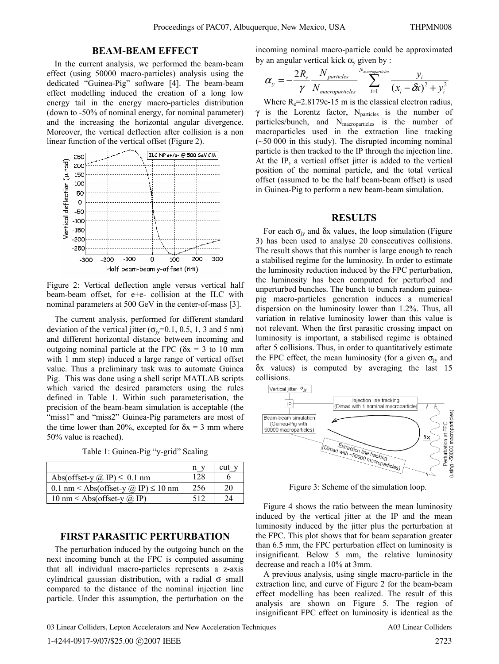#### **BEAM-BEAM EFFECT**

In the current analysis, we performed the beam-beam effect (using 50000 macro-particles) analysis using the dedicated "Guinea-Pig" software [4]. The beam-beam effect modelling induced the creation of a long low energy tail in the energy macro-particles distribution (down to -50% of nominal energy, for nominal parameter) and the increasing the horizontal angular divergence. Moreover, the vertical deflection after collision is a non linear function of the vertical offset (Figure 2).



Figure 2: Vertical deflection angle versus vertical half beam-beam offset, for e+e- collision at the ILC with nominal parameters at 500 GeV in the center-of-mass [3].

The current analysis, performed for different standard deviation of the vertical jitter ( $\sigma_{\text{iy}}$ =0.1, 0.5, 1, 3 and 5 nm) and different horizontal distance between incoming and outgoing nominal particle at the FPC ( $\delta x = 3$  to 10 mm with 1 mm step) induced a large range of vertical offset value. Thus a preliminary task was to automate Guinea Pig. This was done using a shell script MATLAB scripts which varied the desired parameters using the rules defined in Table 1. Within such parameterisation, the precision of the beam-beam simulation is acceptable (the "miss1" and "miss2" Guinea-Pig parameters are most of the time lower than 20%, excepted for  $\delta x = 3$  mm where 50% value is reached).

Table 1: Guinea-Pig "y-grid" Scaling

|                                                 |     | cut |
|-------------------------------------------------|-----|-----|
| Abs(offset-y $\omega$ IP) $\leq$ 0.1 nm         | 128 |     |
| 0.1 nm < Abs(offset-y $\omega$ IP) $\leq$ 10 nm | 256 | 20  |
| 10 nm < Abs(offset-y $\omega$ IP)               | 512 |     |

#### **FIRST PARASITIC PERTURBATION**

The perturbation induced by the outgoing bunch on the next incoming bunch at the FPC is computed assuming that all individual macro-particles represents a z-axis cylindrical gaussian distribution, with a radial  $\sigma$  small compared to the distance of the nominal injection line particle. Under this assumption, the perturbation on the incoming nominal macro-particle could be approximated by an angular vertical kick  $\alpha$ <sub>v</sub> given by :

$$
\alpha_{y} = -\frac{2R_e}{\gamma} \frac{N_{particles}}{N_{macroparticles}} \sum_{i=1}^{N_{macroparticles}} \frac{y_i}{(x_i - \delta x)^2 + y_i^2}
$$

Where  $R_e = 2.8179e-15$  m is the classical electron radius,  $\gamma$  is the Lorentz factor, N<sub>particles</sub> is the number of particles/bunch, and N<sub>macroparticles</sub> is the number of macroparticles used in the extraction line tracking  $(-50,000)$  in this study). The disrupted incoming nominal particle is then tracked to the IP through the injection line. At the IP, a vertical offset jitter is added to the vertical position of the nominal particle, and the total vertical offset (assumed to be the half beam-beam offset) is used in Guinea-Pig to perform a new beam-beam simulation.

#### **RESULTS**

For each  $\sigma_{iv}$  and  $\delta x$  values, the loop simulation (Figure 3) has been used to analyse 20 consecutives collisions. The result shows that this number is large enough to reach a stabilised regime for the luminosity. In order to estimate the luminosity reduction induced by the FPC perturbation, the luminosity has been computed for perturbed and unperturbed bunches. The bunch to bunch random guineapig macro-particles generation induces a numerical dispersion on the luminosity lower than 1.2%. Thus, all variation in relative luminosity lower than this value is not relevant. When the first parasitic crossing impact on luminosity is important, a stabilised regime is obtained after 5 collisions. Thus, in order to quantitatively estimate the FPC effect, the mean luminosity (for a given  $\sigma_{iv}$  and δx values) is computed by averaging the last 15 collisions.



Figure 3: Scheme of the simulation loop.

Figure 4 shows the ratio between the mean luminosity induced by the vertical jitter at the IP and the mean luminosity induced by the jitter plus the perturbation at the FPC. This plot shows that for beam separation greater than 6.5 mm, the FPC perturbation effect on luminosity is insignificant. Below 5 mm, the relative luminosity decrease and reach a 10% at 3mm.

A previous analysis, using single macro-particle in the extraction line, and curve of Figure 2 for the beam-beam effect modelling has been realized. The result of this analysis are shown on Figure 5. The region of insignificant FPC effect on luminosity is identical as the

03 Linear Colliders, Lepton Accelerators and New Acceleration Techniques